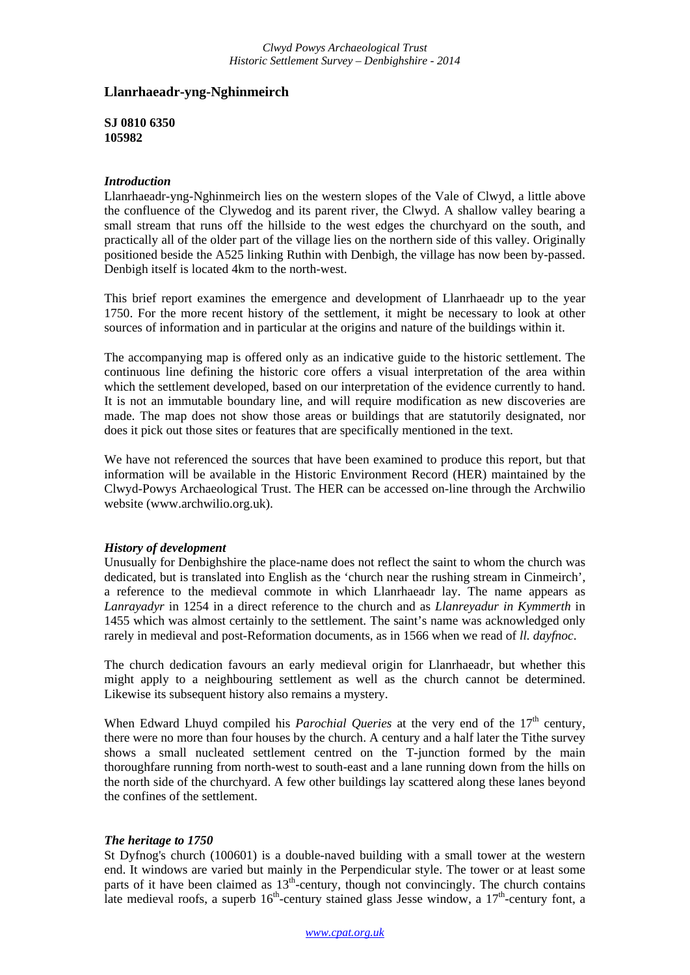## **Llanrhaeadr-yng-Nghinmeirch**

**SJ 0810 6350 105982**

## *Introduction*

Llanrhaeadr-yng-Nghinmeirch lies on the western slopes of the Vale of Clwyd, a little above the confluence of the Clywedog and its parent river, the Clwyd. A shallow valley bearing a small stream that runs off the hillside to the west edges the churchyard on the south, and practically all of the older part of the village lies on the northern side of this valley. Originally positioned beside the A525 linking Ruthin with Denbigh, the village has now been by-passed. Denbigh itself is located 4km to the north-west.

This brief report examines the emergence and development of Llanrhaeadr up to the year 1750. For the more recent history of the settlement, it might be necessary to look at other sources of information and in particular at the origins and nature of the buildings within it.

The accompanying map is offered only as an indicative guide to the historic settlement. The continuous line defining the historic core offers a visual interpretation of the area within which the settlement developed, based on our interpretation of the evidence currently to hand. It is not an immutable boundary line, and will require modification as new discoveries are made. The map does not show those areas or buildings that are statutorily designated, nor does it pick out those sites or features that are specifically mentioned in the text.

We have not referenced the sources that have been examined to produce this report, but that information will be available in the Historic Environment Record (HER) maintained by the Clwyd-Powys Archaeological Trust. The HER can be accessed on-line through the Archwilio website (www.archwilio.org.uk).

## *History of development*

Unusually for Denbighshire the place-name does not reflect the saint to whom the church was dedicated, but is translated into English as the 'church near the rushing stream in Cinmeirch', a reference to the medieval commote in which Llanrhaeadr lay. The name appears as *Lanrayadyr* in 1254 in a direct reference to the church and as *Llanreyadur in Kymmerth* in 1455 which was almost certainly to the settlement. The saint's name was acknowledged only rarely in medieval and post-Reformation documents, as in 1566 when we read of *ll. dayfnoc*.

The church dedication favours an early medieval origin for Llanrhaeadr, but whether this might apply to a neighbouring settlement as well as the church cannot be determined. Likewise its subsequent history also remains a mystery.

When Edward Lhuyd compiled his *Parochial Queries* at the very end of the 17<sup>th</sup> century, there were no more than four houses by the church. A century and a half later the Tithe survey shows a small nucleated settlement centred on the T-junction formed by the main thoroughfare running from north-west to south-east and a lane running down from the hills on the north side of the churchyard. A few other buildings lay scattered along these lanes beyond the confines of the settlement.

## *The heritage to 1750*

St Dyfnog's church (100601) is a double-naved building with a small tower at the western end. It windows are varied but mainly in the Perpendicular style. The tower or at least some parts of it have been claimed as  $13<sup>th</sup>$ -century, though not convincingly. The church contains late medieval roofs, a superb  $16<sup>th</sup>$ -century stained glass Jesse window, a  $17<sup>th</sup>$ -century font, a